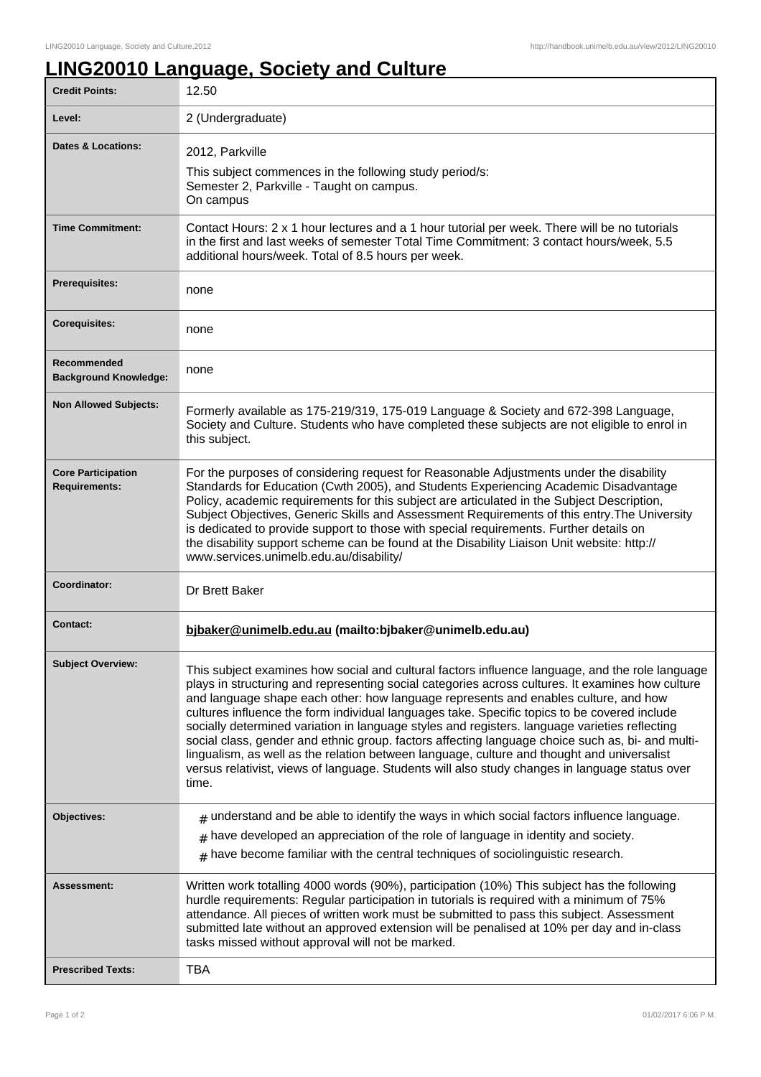## **LING20010 Language, Society and Culture**

| <b>Credit Points:</b>                             | 12.50                                                                                                                                                                                                                                                                                                                                                                                                                                                                                                                                                                                                                                                                                                                                                                                                    |
|---------------------------------------------------|----------------------------------------------------------------------------------------------------------------------------------------------------------------------------------------------------------------------------------------------------------------------------------------------------------------------------------------------------------------------------------------------------------------------------------------------------------------------------------------------------------------------------------------------------------------------------------------------------------------------------------------------------------------------------------------------------------------------------------------------------------------------------------------------------------|
| Level:                                            | 2 (Undergraduate)                                                                                                                                                                                                                                                                                                                                                                                                                                                                                                                                                                                                                                                                                                                                                                                        |
| Dates & Locations:                                | 2012, Parkville<br>This subject commences in the following study period/s:<br>Semester 2, Parkville - Taught on campus.<br>On campus                                                                                                                                                                                                                                                                                                                                                                                                                                                                                                                                                                                                                                                                     |
| <b>Time Commitment:</b>                           | Contact Hours: 2 x 1 hour lectures and a 1 hour tutorial per week. There will be no tutorials<br>in the first and last weeks of semester Total Time Commitment: 3 contact hours/week, 5.5<br>additional hours/week. Total of 8.5 hours per week.                                                                                                                                                                                                                                                                                                                                                                                                                                                                                                                                                         |
| <b>Prerequisites:</b>                             | none                                                                                                                                                                                                                                                                                                                                                                                                                                                                                                                                                                                                                                                                                                                                                                                                     |
| <b>Corequisites:</b>                              | none                                                                                                                                                                                                                                                                                                                                                                                                                                                                                                                                                                                                                                                                                                                                                                                                     |
| Recommended<br><b>Background Knowledge:</b>       | none                                                                                                                                                                                                                                                                                                                                                                                                                                                                                                                                                                                                                                                                                                                                                                                                     |
| <b>Non Allowed Subjects:</b>                      | Formerly available as 175-219/319, 175-019 Language & Society and 672-398 Language,<br>Society and Culture. Students who have completed these subjects are not eligible to enrol in<br>this subject.                                                                                                                                                                                                                                                                                                                                                                                                                                                                                                                                                                                                     |
| <b>Core Participation</b><br><b>Requirements:</b> | For the purposes of considering request for Reasonable Adjustments under the disability<br>Standards for Education (Cwth 2005), and Students Experiencing Academic Disadvantage<br>Policy, academic requirements for this subject are articulated in the Subject Description,<br>Subject Objectives, Generic Skills and Assessment Requirements of this entry. The University<br>is dedicated to provide support to those with special requirements. Further details on<br>the disability support scheme can be found at the Disability Liaison Unit website: http://<br>www.services.unimelb.edu.au/disability/                                                                                                                                                                                         |
| Coordinator:                                      | Dr Brett Baker                                                                                                                                                                                                                                                                                                                                                                                                                                                                                                                                                                                                                                                                                                                                                                                           |
| <b>Contact:</b>                                   | bjbaker@unimelb.edu.au (mailto:bjbaker@unimelb.edu.au)                                                                                                                                                                                                                                                                                                                                                                                                                                                                                                                                                                                                                                                                                                                                                   |
| <b>Subject Overview:</b>                          | This subject examines how social and cultural factors influence language, and the role language<br>plays in structuring and representing social categories across cultures. It examines how culture<br>and language shape each other: how language represents and enables culture, and how<br>cultures influence the form individual languages take. Specific topics to be covered include<br>socially determined variation in language styles and registers. language varieties reflecting<br>social class, gender and ethnic group. factors affecting language choice such as, bi- and multi-<br>lingualism, as well as the relation between language, culture and thought and universalist<br>versus relativist, views of language. Students will also study changes in language status over<br>time. |
| Objectives:                                       | $*$ understand and be able to identify the ways in which social factors influence language.                                                                                                                                                                                                                                                                                                                                                                                                                                                                                                                                                                                                                                                                                                              |
|                                                   | $*$ have developed an appreciation of the role of language in identity and society.<br>$*$ have become familiar with the central techniques of sociolinguistic research.                                                                                                                                                                                                                                                                                                                                                                                                                                                                                                                                                                                                                                 |
| Assessment:                                       | Written work totalling 4000 words (90%), participation (10%) This subject has the following<br>hurdle requirements: Regular participation in tutorials is required with a minimum of 75%<br>attendance. All pieces of written work must be submitted to pass this subject. Assessment<br>submitted late without an approved extension will be penalised at 10% per day and in-class<br>tasks missed without approval will not be marked.                                                                                                                                                                                                                                                                                                                                                                 |
| <b>Prescribed Texts:</b>                          | <b>TBA</b>                                                                                                                                                                                                                                                                                                                                                                                                                                                                                                                                                                                                                                                                                                                                                                                               |